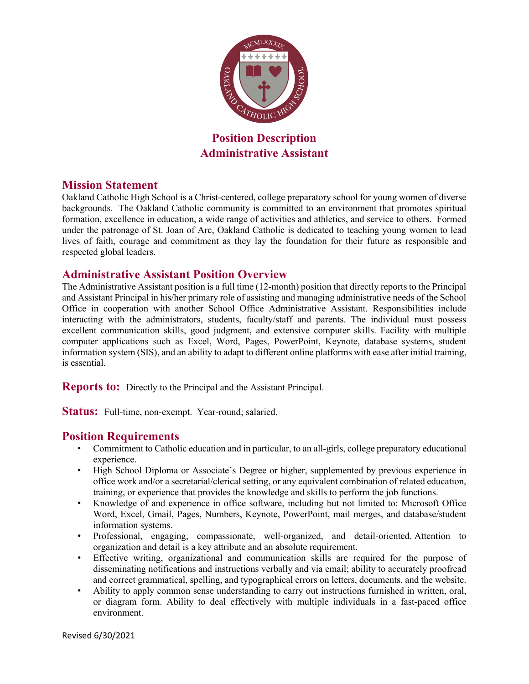

**Position Description Administrative Assistant** 

### **Mission Statement**

Oakland Catholic High School is a Christ-centered, college preparatory school for young women of diverse backgrounds. The Oakland Catholic community is committed to an environment that promotes spiritual formation, excellence in education, a wide range of activities and athletics, and service to others. Formed under the patronage of St. Joan of Arc, Oakland Catholic is dedicated to teaching young women to lead lives of faith, courage and commitment as they lay the foundation for their future as responsible and respected global leaders.

# **Administrative Assistant Position Overview**

The Administrative Assistant position is a full time (12-month) position that directly reports to the Principal and Assistant Principal in his/her primary role of assisting and managing administrative needs of the School Office in cooperation with another School Office Administrative Assistant. Responsibilities include interacting with the administrators, students, faculty/staff and parents. The individual must possess excellent communication skills, good judgment, and extensive computer skills. Facility with multiple computer applications such as Excel, Word, Pages, PowerPoint, Keynote, database systems, student information system (SIS), and an ability to adapt to different online platforms with ease after initial training, is essential.

**Reports to:** Directly to the Principal and the Assistant Principal.

Status: Full-time, non-exempt. Year-round; salaried.

# **Position Requirements**

- Commitment to Catholic education and in particular, to an all-girls, college preparatory educational experience.
- High School Diploma or Associate's Degree or higher, supplemented by previous experience in office work and/or a secretarial/clerical setting, or any equivalent combination of related education, training, or experience that provides the knowledge and skills to perform the job functions.
- Knowledge of and experience in office software, including but not limited to: Microsoft Office Word, Excel, Gmail, Pages, Numbers, Keynote, PowerPoint, mail merges, and database/student information systems.
- Professional, engaging, compassionate, well-organized, and detail-oriented. Attention to organization and detail is a key attribute and an absolute requirement.
- Effective writing, organizational and communication skills are required for the purpose of disseminating notifications and instructions verbally and via email; ability to accurately proofread and correct grammatical, spelling, and typographical errors on letters, documents, and the website.
- Ability to apply common sense understanding to carry out instructions furnished in written, oral, or diagram form. Ability to deal effectively with multiple individuals in a fast-paced office environment.